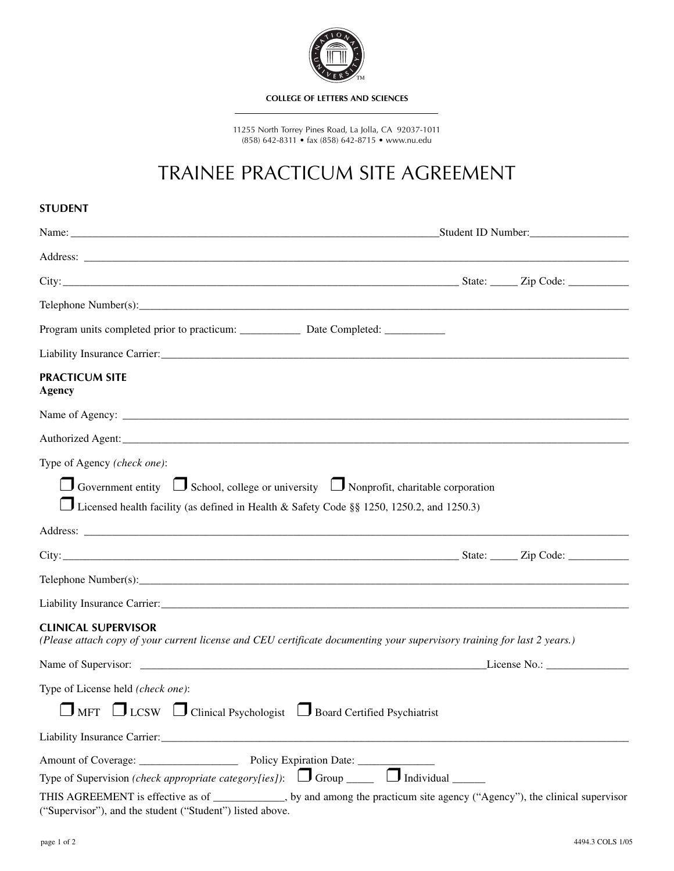

#### **COLLEGE OF LETTERS AND SCIENCES**

11255 North Torrey Pines Road, La Jolla, CA 92037-1011 (858) 642-8311 • fax (858) 642-8715 • www.nu.edu

# TRAINEE PRACTICUM SITE AGREEMENT

| <b>STUDENT</b>                                                                                                                                                                                      |              |  |
|-----------------------------------------------------------------------------------------------------------------------------------------------------------------------------------------------------|--------------|--|
|                                                                                                                                                                                                     |              |  |
|                                                                                                                                                                                                     |              |  |
|                                                                                                                                                                                                     |              |  |
|                                                                                                                                                                                                     |              |  |
| Program units completed prior to practicum: _____________ Date Completed: ___________                                                                                                               |              |  |
|                                                                                                                                                                                                     |              |  |
| <b>PRACTICUM SITE</b><br><b>Agency</b>                                                                                                                                                              |              |  |
|                                                                                                                                                                                                     |              |  |
|                                                                                                                                                                                                     |              |  |
| Type of Agency (check one):                                                                                                                                                                         |              |  |
| $\Box$ Government entity $\Box$ School, college or university $\Box$ Nonprofit, charitable corporation<br>Licensed health facility (as defined in Health & Safety Code §§ 1250, 1250.2, and 1250.3) |              |  |
|                                                                                                                                                                                                     |              |  |
|                                                                                                                                                                                                     |              |  |
|                                                                                                                                                                                                     |              |  |
|                                                                                                                                                                                                     |              |  |
| <b>CLINICAL SUPERVISOR</b><br>(Please attach copy of your current license and CEU certificate documenting your supervisory training for last 2 years.)                                              |              |  |
|                                                                                                                                                                                                     | License No.: |  |
| Type of License held (check one):                                                                                                                                                                   |              |  |
| $\Box$ MFT $\Box$ LCSW $\Box$ Clinical Psychologist $\Box$ Board Certified Psychiatrist                                                                                                             |              |  |
|                                                                                                                                                                                                     |              |  |
|                                                                                                                                                                                                     |              |  |
| Type of Supervision (check appropriate category[ies]): $\Box$ Group $\Box$ Individual $\Box$                                                                                                        |              |  |
| THIS AGREEMENT is effective as of __________, by and among the practicum site agency ("Agency"), the clinical supervisor<br>("Supervisor"), and the student ("Student") listed above.               |              |  |